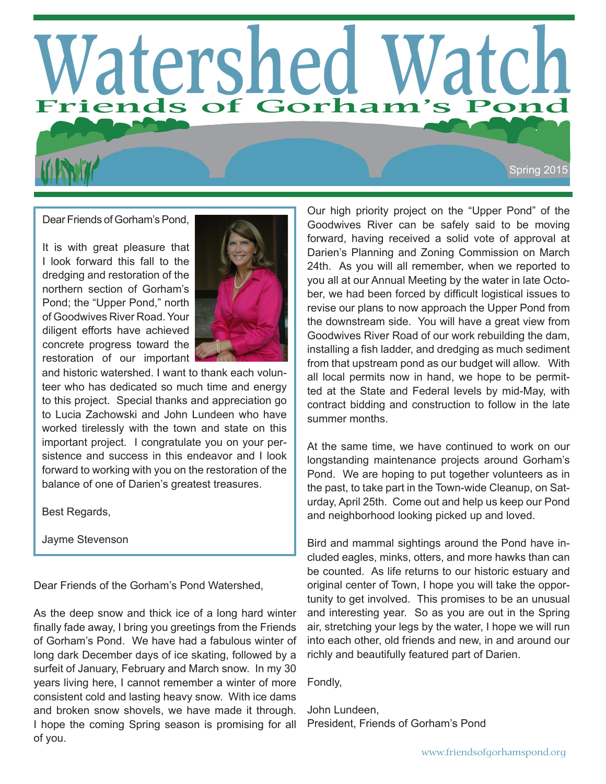# **Watershed Watch Friends of Gorham's Pond**

Dear Friends of Gorham's Pond,

It is with great pleasure that I look forward this fall to the dredging and restoration of the northern section of Gorham's Pond; the "Upper Pond," north of Goodwives River Road. Your diligent efforts have achieved concrete progress toward the restoration of our important



and historic watershed. I want to thank each volunteer who has dedicated so much time and energy to this project. Special thanks and appreciation go to Lucia Zachowski and John Lundeen who have worked tirelessly with the town and state on this important project. I congratulate you on your persistence and success in this endeavor and I look forward to working with you on the restoration of the balance of one of Darien's greatest treasures.

Best Regards,

Jayme Stevenson

Dear Friends of the Gorham's Pond Watershed,

As the deep snow and thick ice of a long hard winter finally fade away, I bring you greetings from the Friends of Gorham's Pond. We have had a fabulous winter of long dark December days of ice skating, followed by a surfeit of January, February and March snow. In my 30 years living here, I cannot remember a winter of more consistent cold and lasting heavy snow. With ice dams and broken snow shovels, we have made it through. I hope the coming Spring season is promising for all of you.

Our high priority project on the "Upper Pond" of the Goodwives River can be safely said to be moving forward, having received a solid vote of approval at Darien's Planning and Zoning Commission on March 24th. As you will all remember, when we reported to you all at our Annual Meeting by the water in late October, we had been forced by difficult logistical issues to revise our plans to now approach the Upper Pond from the downstream side. You will have a great view from Goodwives River Road of our work rebuilding the dam, installing a fish ladder, and dredging as much sediment from that upstream pond as our budget will allow. With all local permits now in hand, we hope to be permitted at the State and Federal levels by mid-May, with contract bidding and construction to follow in the late summer months.

Spring 2015

At the same time, we have continued to work on our longstanding maintenance projects around Gorham's Pond. We are hoping to put together volunteers as in the past, to take part in the Town-wide Cleanup, on Saturday, April 25th. Come out and help us keep our Pond and neighborhood looking picked up and loved.

Bird and mammal sightings around the Pond have included eagles, minks, otters, and more hawks than can be counted. As life returns to our historic estuary and original center of Town, I hope you will take the opportunity to get involved. This promises to be an unusual and interesting year. So as you are out in the Spring air, stretching your legs by the water, I hope we will run into each other, old friends and new, in and around our richly and beautifully featured part of Darien.

Fondly,

John Lundeen, President, Friends of Gorham's Pond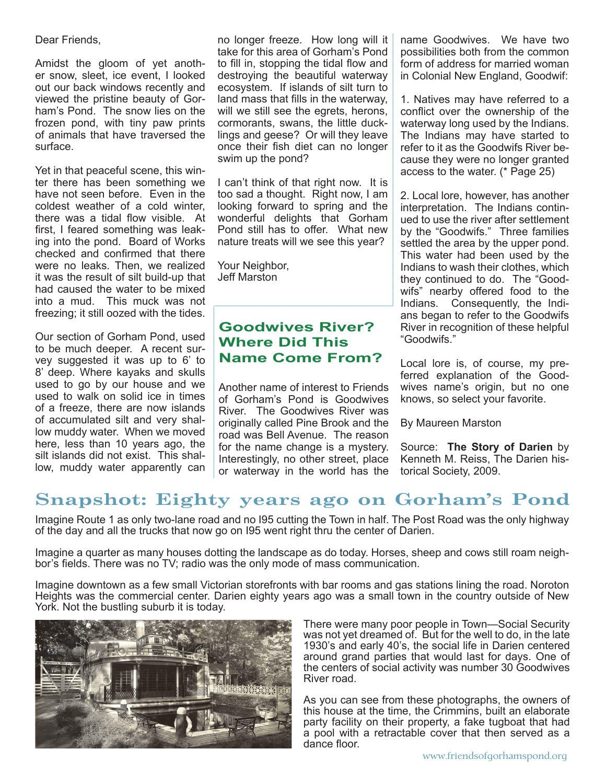Dear Friends,

Amidst the gloom of yet another snow, sleet, ice event, I looked out our back windows recently and viewed the pristine beauty of Gorham's Pond. The snow lies on the frozen pond, with tiny paw prints of animals that have traversed the surface.

Yet in that peaceful scene, this winter there has been something we have not seen before. Even in the coldest weather of a cold winter, there was a tidal flow visible. At first, I feared something was leaking into the pond. Board of Works checked and confirmed that there were no leaks. Then, we realized it was the result of silt build-up that had caused the water to be mixed into a mud. This muck was not freezing; it still oozed with the tides.

Our section of Gorham Pond, used to be much deeper. A recent survey suggested it was up to 6' to 8' deep. Where kayaks and skulls used to go by our house and we used to walk on solid ice in times of a freeze, there are now islands of accumulated silt and very shallow muddy water. When we moved here, less than 10 years ago, the silt islands did not exist. This shallow, muddy water apparently can

no longer freeze. How long will it take for this area of Gorham's Pond to fill in, stopping the tidal flow and destroying the beautiful waterway ecosystem. If islands of silt turn to land mass that fills in the waterway, will we still see the egrets, herons, cormorants, swans, the little ducklings and geese? Or will they leave once their fish diet can no longer swim up the pond?

I can't think of that right now. It is too sad a thought. Right now, I am looking forward to spring and the wonderful delights that Gorham Pond still has to offer. What new nature treats will we see this year? **\_\_\_\_\_\_\_\_\_\_\_\_\_\_\_\_\_\_\_\_\_\_\_\_\_\_\_\_\_\_\_\_\_\_\_\_\_\_**

Your Neighbor, Jeff Marston

**\_\_\_\_\_\_\_\_\_\_\_\_\_\_\_\_\_\_\_\_\_\_\_\_**

#### **Goodwives River? Where Did This Name Come From?**

Another name of interest to Friends of Gorham's Pond is Goodwives River. The Goodwives River was originally called Pine Brook and the road was Bell Avenue. The reason for the name change is a mystery. Interestingly, no other street, place or waterway in the world has the name Goodwives. We have two possibilities both from the common form of address for married woman in Colonial New England, Goodwif:

1. Natives may have referred to a conflict over the ownership of the waterway long used by the Indians. The Indians may have started to refer to it as the Goodwifs River because they were no longer granted access to the water. (\* Page 25)

2. Local lore, however, has another interpretation. The Indians continued to use the river after settlement by the "Goodwifs." Three families settled the area by the upper pond. This water had been used by the Indians to wash their clothes, which they continued to do. The "Goodwifs" nearby offered food to the Indians. Consequently, the Indians began to refer to the Goodwifs River in recognition of these helpful "Goodwifs."

Local lore is, of course, my preferred explanation of the Goodwives name's origin, but no one knows, so select your favorite.

By Maureen Marston

Source: **The Story of Darien** by Kenneth M. Reiss, The Darien historical Society, 2009.

# **Snapshot: Eighty years ago on Gorham's Pond**

Imagine Route 1 as only two-lane road and no I95 cutting the Town in half. The Post Road was the only highway of the day and all the trucks that now go on I95 went right thru the center of Darien.

Imagine a quarter as many houses dotting the landscape as do today. Horses, sheep and cows still roam neighbor's fields. There was no TV; radio was the only mode of mass communication.

Imagine downtown as a few small Victorian storefronts with bar rooms and gas stations lining the road. Noroton Heights was the commercial center. Darien eighty years ago was a small town in the country outside of New York. Not the bustling suburb it is today.



There were many poor people in Town—Social Security was not yet dreamed of. But for the well to do, in the late 1930's and early 40's, the social life in Darien centered around grand parties that would last for days. One of the centers of social activity was number 30 Goodwives River road.

As you can see from these photographs, the owners of this house at the time, the Crimmins, built an elaborate party facility on their property, a fake tugboat that had a pool with a retractable cover that then served as a dance floor.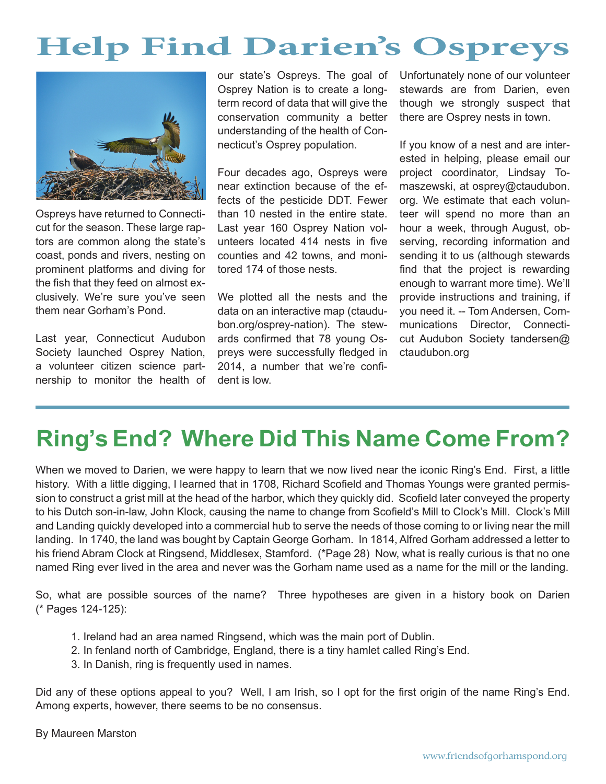# **Help Find Darien's Ospreys**



Ospreys have returned to Connecticut for the season. These large raptors are common along the state's coast, ponds and rivers, nesting on prominent platforms and diving for the fish that they feed on almost exclusively. We're sure you've seen them near Gorham's Pond.

Last year, Connecticut Audubon Society launched Osprey Nation, a volunteer citizen science partnership to monitor the health of

our state's Ospreys. The goal of Osprey Nation is to create a longterm record of data that will give the conservation community a better understanding of the health of Connecticut's Osprey population.

Four decades ago, Ospreys were near extinction because of the effects of the pesticide DDT. Fewer than 10 nested in the entire state. Last year 160 Osprey Nation volunteers located 414 nests in five counties and 42 towns, and monitored 174 of those nests.

We plotted all the nests and the data on an interactive map (ctaudubon.org/osprey-nation). The stewards confirmed that 78 young Ospreys were successfully fledged in 2014, a number that we're confident is low.

Unfortunately none of our volunteer stewards are from Darien, even though we strongly suspect that there are Osprey nests in town.

If you know of a nest and are interested in helping, please email our project coordinator, Lindsay Tomaszewski, at osprey@ctaudubon. org. We estimate that each volunteer will spend no more than an hour a week, through August, observing, recording information and sending it to us (although stewards find that the project is rewarding enough to warrant more time). We'll provide instructions and training, if you need it. -- Tom Andersen, Communications Director, Connecticut Audubon Society tandersen@ ctaudubon.org

# **Ring's End? Where Did This Name Come From?**

When we moved to Darien, we were happy to learn that we now lived near the iconic Ring's End. First, a little history. With a little digging, I learned that in 1708, Richard Scofield and Thomas Youngs were granted permission to construct a grist mill at the head of the harbor, which they quickly did. Scofield later conveyed the property to his Dutch son-in-law, John Klock, causing the name to change from Scofield's Mill to Clock's Mill. Clock's Mill and Landing quickly developed into a commercial hub to serve the needs of those coming to or living near the mill landing. In 1740, the land was bought by Captain George Gorham. In 1814, Alfred Gorham addressed a letter to his friend Abram Clock at Ringsend, Middlesex, Stamford. (\*Page 28) Now, what is really curious is that no one named Ring ever lived in the area and never was the Gorham name used as a name for the mill or the landing.

So, what are possible sources of the name? Three hypotheses are given in a history book on Darien (\* Pages 124-125):

- 1. Ireland had an area named Ringsend, which was the main port of Dublin.
- 2. In fenland north of Cambridge, England, there is a tiny hamlet called Ring's End.
- 3. In Danish, ring is frequently used in names.

Did any of these options appeal to you? Well, I am Irish, so I opt for the first origin of the name Ring's End. Among experts, however, there seems to be no consensus.